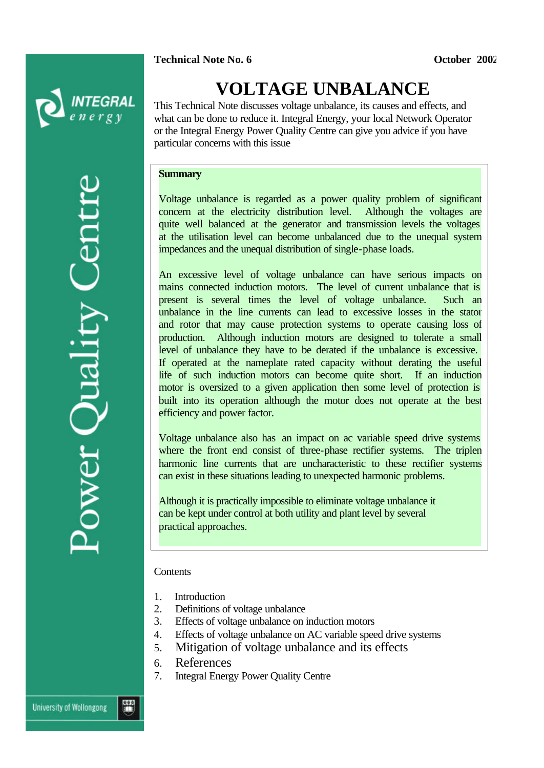**Technical Note No. 6** *October 2002* 



# **VOLTAGE UNBALANCE**

This Technical Note discusses voltage unbalance, its causes and effects, and what can be done to reduce it. Integral Energy, your local Network Operator or the Integral Energy Power Quality Centre can give you advice if you have particular concerns with this issue

#### **Summary**

Voltage unbalance is regarded as a power quality problem of significant concern at the electricity distribution level. Although the voltages are quite well balanced at the generator and transmission levels the voltages at the utilisation level can become unbalanced due to the unequal system impedances and the unequal distribution of single-phase loads.

An excessive level of voltage unbalance can have serious impacts on mains connected induction motors. The level of current unbalance that is present is several times the level of voltage unbalance. Such an unbalance in the line currents can lead to excessive losses in the stator and rotor that may cause protection systems to operate causing loss of production. Although induction motors are designed to tolerate a small level of unbalance they have to be derated if the unbalance is excessive. If operated at the nameplate rated capacity without derating the useful life of such induction motors can become quite short. If an induction motor is oversized to a given application then some level of protection is built into its operation although the motor does not operate at the best efficiency and power factor.

Voltage unbalance also has an impact on ac variable speed drive systems where the front end consist of three-phase rectifier systems. The triplen harmonic line currents that are uncharacteristic to these rectifier systems can exist in these situations leading to unexpected harmonic problems.

Although it is practically impossible to eliminate voltage unbalance it can be kept under control at both utility and plant level by several practical approaches.

#### **Contents**

- 1. Introduction
- 2. Definitions of voltage unbalance
- 3. Effects of voltage unbalance on induction motors
- 4. Effects of voltage unbalance on AC variable speed drive systems
- 5. Mitigation of voltage unbalance and its effects
- 6. References
- 7. Integral Energy Power Quality Centre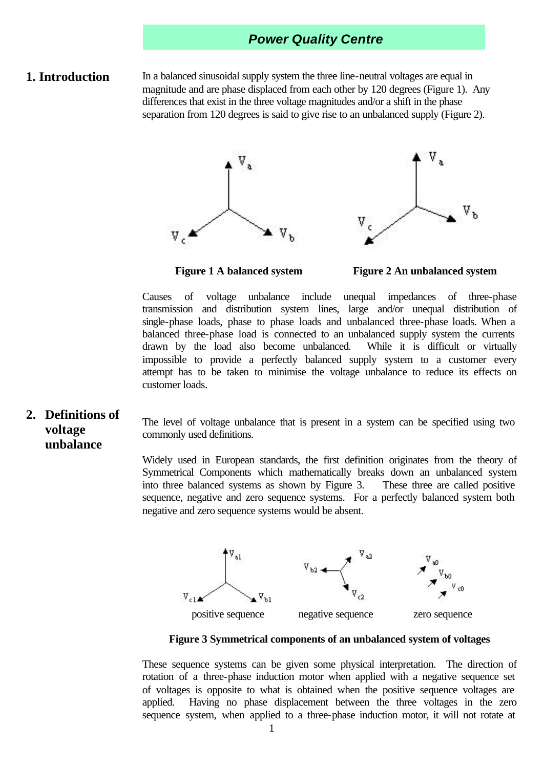#### **1. Introduction**

In a balanced sinusoidal supply system the three line-neutral voltages are equal in magnitude and are phase displaced from each other by 120 degrees (Figure 1). Any differences that exist in the three voltage magnitudes and/or a shift in the phase separation from 120 degrees is said to give rise to an unbalanced supply (Figure 2).





 **Figure 1 A balanced system Figure 2 An unbalanced system**

Causes of voltage unbalance include unequal impedances of three-phase transmission and distribution system lines, large and/or unequal distribution of single-phase loads, phase to phase loads and unbalanced three-phase loads. When a balanced three-phase load is connected to an unbalanced supply system the currents drawn by the load also become unbalanced. While it is difficult or virtually impossible to provide a perfectly balanced supply system to a customer every attempt has to be taken to minimise the voltage unbalance to reduce its effects on customer loads.

**2. Definitions of voltage unbalance** The level of voltage unbalance that is present in a system can be specified using two commonly used definitions.

Widely used in European standards, the first definition originates from the theory of Symmetrical Components which mathematically breaks down an unbalanced system into three balanced systems as shown by Figure 3. These three are called positive sequence, negative and zero sequence systems. For a perfectly balanced system both negative and zero sequence systems would be absent.



**Figure 3 Symmetrical components of an unbalanced system of voltages**

These sequence systems can be given some physical interpretation. The direction of rotation of a three-phase induction motor when applied with a negative sequence set of voltages is opposite to what is obtained when the positive sequence voltages are applied. Having no phase displacement between the three voltages in the zero sequence system, when applied to a three-phase induction motor, it will not rotate at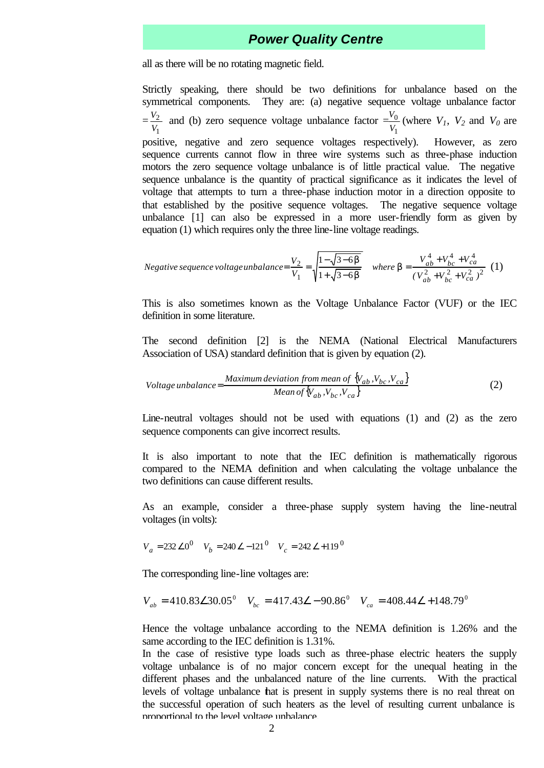all as there will be no rotating magnetic field.

Strictly speaking, there should be two definitions for unbalance based on the symmetrical components. They are: (a) negative sequence voltage unbalance factor = 1 2 *V*  $\frac{V_2}{V_1}$  and (b) zero sequence voltage unbalance factor = 1  $\overline{0}$ *V*  $\frac{V_0}{V}$  (where  $V_1$ ,  $V_2$  and  $V_0$  are positive, negative and zero sequence voltages respectively). However, as zero sequence currents cannot flow in three wire systems such as three-phase induction motors the zero sequence voltage unbalance is of little practical value. The negative sequence unbalance is the quantity of practical significance as it indicates the level of voltage that attempts to turn a three-phase induction motor in a direction opposite to that established by the positive sequence voltages. The negative sequence voltage unbalance [1] can also be expressed in a more user-friendly form as given by equation (1) which requires only the three line-line voltage readings.

Negative sequence voltage unbalance = 
$$
\frac{V_2}{V_1} = \sqrt{\frac{1 - \sqrt{3 - 6b}}{1 + \sqrt{3 - 6b}}}
$$
 where  $\mathbf{b} = \frac{V_{ab}^4 + V_{bc}^4 + V_{ca}^4}{(V_{ab}^2 + V_{bc}^2 + V_{ca}^2)^2}$  (1)

This is also sometimes known as the Voltage Unbalance Factor (VUF) or the IEC definition in some literature.

The second definition [2] is the NEMA (National Electrical Manufacturers Association of USA) standard definition that is given by equation (2).

$$
Voltage unbalance = \frac{Maximum deviation from mean of \{V_{ab}, V_{bc}, V_{ca}\}}{Mean of \{V_{ab}, V_{bc}, V_{ca}\}}
$$
\n
$$
(2)
$$

Line-neutral voltages should not be used with equations (1) and (2) as the zero sequence components can give incorrect results.

It is also important to note that the IEC definition is mathematically rigorous compared to the NEMA definition and when calculating the voltage unbalance the two definitions can cause different results.

As an example, consider a three-phase supply system having the line-neutral voltages (in volts):

$$
V_a = 232 \angle 0^0
$$
  $V_b = 240 \angle -121^0$   $V_c = 242 \angle +119^0$ 

The corresponding line-line voltages are:

$$
V_{ab} = 410.83\angle 30.05^{\circ} \quad V_{bc} = 417.43\angle -90.86^{\circ} \quad V_{ca} = 408.44\angle +148.79^{\circ}
$$

Hence the voltage unbalance according to the NEMA definition is 1.26% and the same according to the IEC definition is 1.31%.

In the case of resistive type loads such as three-phase electric heaters the supply voltage unbalance is of no major concern except for the unequal heating in the different phases and the unbalanced nature of the line currents. With the practical levels of voltage unbalance that is present in supply systems there is no real threat on the successful operation of such heaters as the level of resulting current unbalance is proportional to the level voltage unbalance.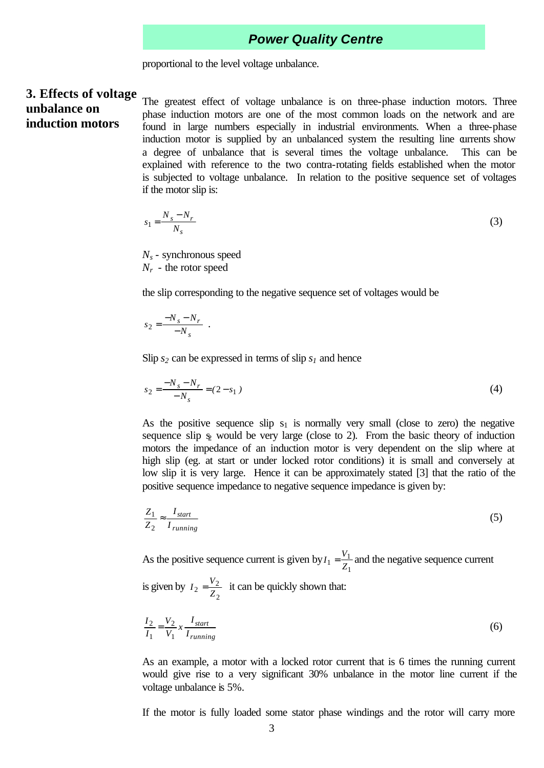proportional to the level voltage unbalance.

#### **3. Effects of voltage unbalance on**

**induction motors**

The greatest effect of voltage unbalance is on three-phase induction motors. Three phase induction motors are one of the most common loads on the network and are found in large numbers especially in industrial environments. When a three-phase induction motor is supplied by an unbalanced system the resulting line currents show a degree of unbalance that is several times the voltage unbalance. This can be explained with reference to the two contra-rotating fields established when the motor is subjected to voltage unbalance. In relation to the positive sequence set of voltages if the motor slip is:

$$
1 = \frac{N_s - N_r}{N_s} \tag{3}
$$

*N<sup>s</sup>* - synchronous speed *Nr* - the rotor speed

the slip corresponding to the negative sequence set of voltages would be

$$
s_2 = \frac{-N_s - N_r}{-N_s} \enspace .
$$

*s*

Slip  $s_2$  can be expressed in terms of slip  $s_1$  and hence

$$
s_2 = \frac{-N_s - N_r}{-N_s} = (2 - s_1)
$$
\n<sup>(4)</sup>

As the positive sequence slip  $s_1$  is normally very small (close to zero) the negative sequence slip  $\frac{1}{2}$  would be very large (close to 2). From the basic theory of induction motors the impedance of an induction motor is very dependent on the slip where at high slip (eg. at start or under locked rotor conditions) it is small and conversely at low slip it is very large. Hence it can be approximately stated [3] that the ratio of the positive sequence impedance to negative sequence impedance is given by:

$$
\frac{Z_1}{Z_2} \approx \frac{I_{start}}{I_{running}}\tag{5}
$$

As the positive sequence current is given by 1  $i_1 = \frac{v_1}{Z_1}$  $I_1 = \frac{V_1}{Z}$  and the negative sequence current

is given by 2  $2 = \frac{V_2}{Z_2}$  $I_2 = \frac{V_2}{Z}$  it can be quickly shown that:

$$
\frac{I_2}{I_1} = \frac{V_2}{V_1} x \frac{I_{start}}{I_{running}}
$$
(6)

As an example, a motor with a locked rotor current that is 6 times the running current would give rise to a very significant 30% unbalance in the motor line current if the voltage unbalance is 5%.

If the motor is fully loaded some stator phase windings and the rotor will carry more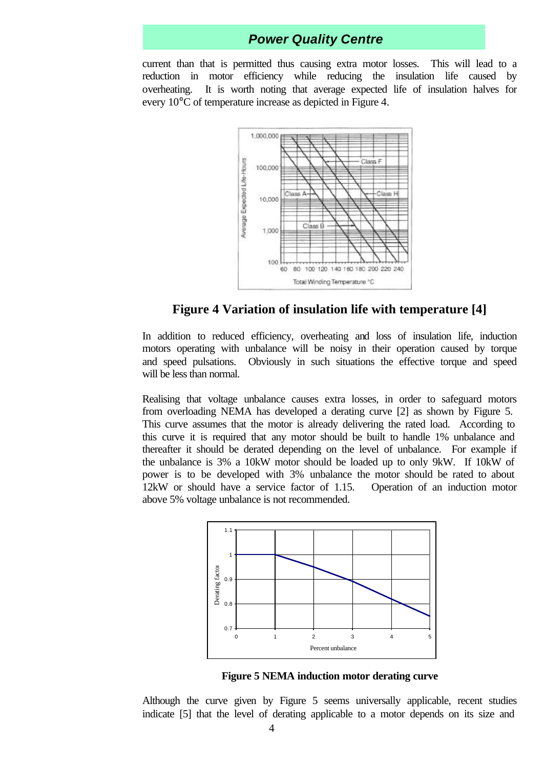current than that is permitted thus causing extra motor losses. This will lead to a reduction in motor efficiency while reducing the insulation life caused by overheating. It is worth noting that average expected life of insulation halves for every 10°C of temperature increase as depicted in Figure 4.



#### **Figure 4 Variation of insulation life with temperature [4]**

In addition to reduced efficiency, overheating and loss of insulation life, induction motors operating with unbalance will be noisy in their operation caused by torque and speed pulsations. Obviously in such situations the effective torque and speed will be less than normal.

Realising that voltage unbalance causes extra losses, in order to safeguard motors from overloading NEMA has developed a derating curve [2] as shown by Figure 5. This curve assumes that the motor is already delivering the rated load. According to this curve it is required that any motor should be built to handle 1% unbalance and thereafter it should be derated depending on the level of unbalance. For example if the unbalance is 3% a 10kW motor should be loaded up to only 9kW. If 10kW of power is to be developed with 3% unbalance the motor should be rated to about 12kW or should have a service factor of 1.15. Operation of an induction motor above 5% voltage unbalance is not recommended.



**Figure 5 NEMA induction motor derating curve** 

Although the curve given by Figure 5 seems universally applicable, recent studies indicate [5] that the level of derating applicable to a motor depends on its size and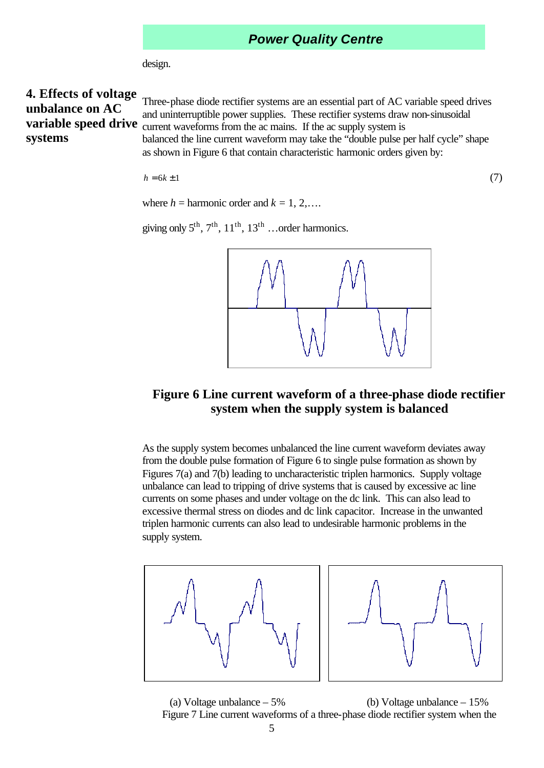design.

# **4. Effects of voltage unbalance on AC systems**

**variable speed drive** current waveforms from the ac mains. If the ac supply system is Three-phase diode rectifier systems are an essential part of AC variable speed drives and uninterruptible power supplies. These rectifier systems draw non-sinusoidal balanced the line current waveform may take the "double pulse per half cycle" shape

as shown in Figure 6 that contain characteristic harmonic orders given by:

 $h = 6k \pm 1$  (7)

$$
(7)
$$

where  $h =$  harmonic order and  $k = 1, 2, \ldots$ .

giving only  $5^{th}$ ,  $7^{th}$ ,  $11^{th}$ ,  $13^{th}$  …order harmonics.



#### **Figure 6 Line current waveform of a three-phase diode rectifier system when the supply system is balanced**

As the supply system becomes unbalanced the line current waveform deviates away from the double pulse formation of Figure 6 to single pulse formation as shown by Figures 7(a) and 7(b) leading to uncharacteristic triplen harmonics. Supply voltage unbalance can lead to tripping of drive systems that is caused by excessive ac line currents on some phases and under voltage on the dc link. This can also lead to excessive thermal stress on diodes and dc link capacitor. Increase in the unwanted triplen harmonic currents can also lead to undesirable harmonic problems in the supply system.





(a) Voltage unbalance – 5% (b) Voltage unbalance – 15% Figure 7 Line current waveforms of a three-phase diode rectifier system when the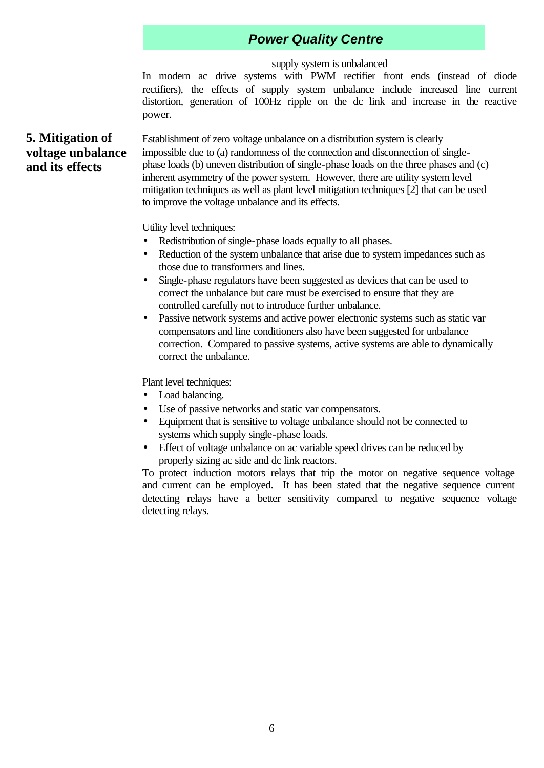#### supply system is unbalanced

In modern ac drive systems with PWM rectifier front ends (instead of diode rectifiers), the effects of supply system unbalance include increased line current distortion, generation of 100Hz ripple on the dc link and increase in the reactive power.

#### **5. Mitigation of voltage unbalance and its effects**

Establishment of zero voltage unbalance on a distribution system is clearly impossible due to (a) randomness of the connection and disconnection of singlephase loads (b) uneven distribution of single-phase loads on the three phases and (c) inherent asymmetry of the power system. However, there are utility system level mitigation techniques as well as plant level mitigation techniques [2] that can be used to improve the voltage unbalance and its effects.

Utility level techniques:

- Redistribution of single-phase loads equally to all phases.
- Reduction of the system unbalance that arise due to system impedances such as those due to transformers and lines.
- Single-phase regulators have been suggested as devices that can be used to correct the unbalance but care must be exercised to ensure that they are controlled carefully not to introduce further unbalance.
- Passive network systems and active power electronic systems such as static var compensators and line conditioners also have been suggested for unbalance correction. Compared to passive systems, active systems are able to dynamically correct the unbalance.

Plant level techniques:

- Load balancing.
- Use of passive networks and static var compensators.
- Equipment that is sensitive to voltage unbalance should not be connected to systems which supply single-phase loads.
- Effect of voltage unbalance on ac variable speed drives can be reduced by properly sizing ac side and dc link reactors.

To protect induction motors relays that trip the motor on negative sequence voltage and current can be employed. It has been stated that the negative sequence current detecting relays have a better sensitivity compared to negative sequence voltage detecting relays.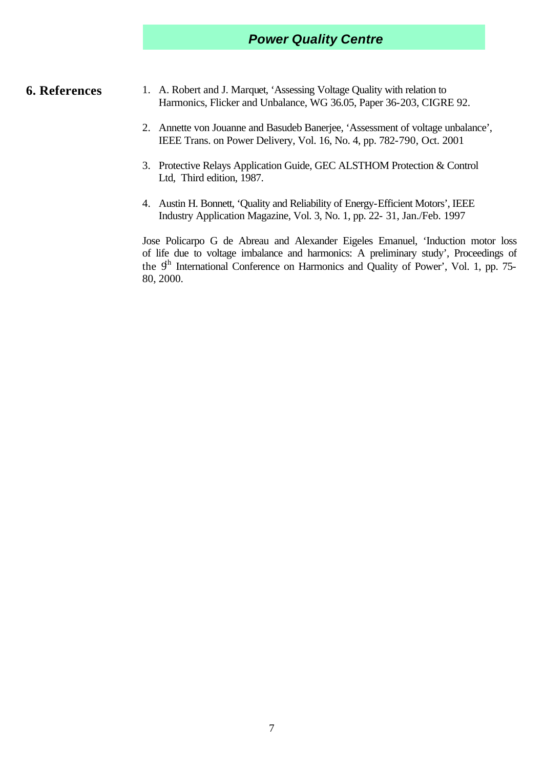- **6. References** 1. A. Robert and J. Marquet, 'Assessing Voltage Quality with relation to Harmonics, Flicker and Unbalance, WG 36.05, Paper 36-203, CIGRE 92.
	- 2. Annette von Jouanne and Basudeb Banerjee, 'Assessment of voltage unbalance', IEEE Trans. on Power Delivery, Vol. 16, No. 4, pp. 782-790, Oct. 2001
	- 3. Protective Relays Application Guide, GEC ALSTHOM Protection & Control Ltd, Third edition, 1987.
	- 4. Austin H. Bonnett, 'Quality and Reliability of Energy-Efficient Motors', IEEE Industry Application Magazine, Vol. 3, No. 1, pp. 22- 31, Jan./Feb. 1997

Jose Policarpo G de Abreau and Alexander Eigeles Emanuel, 'Induction motor loss of life due to voltage imbalance and harmonics: A preliminary study', Proceedings of the  $9<sup>h</sup>$  International Conference on Harmonics and Quality of Power', Vol. 1, pp. 75-80, 2000.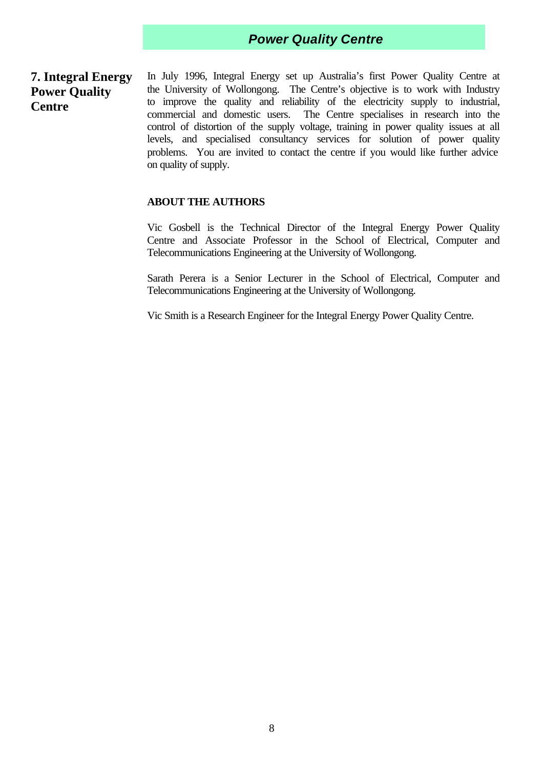#### **7. Integral Energy Power Quality Centre**

In July 1996, Integral Energy set up Australia's first Power Quality Centre at the University of Wollongong. The Centre's objective is to work with Industry to improve the quality and reliability of the electricity supply to industrial, commercial and domestic users. The Centre specialises in research into the control of distortion of the supply voltage, training in power quality issues at all levels, and specialised consultancy services for solution of power quality problems. You are invited to contact the centre if you would like further advice on quality of supply.

#### **ABOUT THE AUTHORS**

Vic Gosbell is the Technical Director of the Integral Energy Power Quality Centre and Associate Professor in the School of Electrical, Computer and Telecommunications Engineering at the University of Wollongong.

Sarath Perera is a Senior Lecturer in the School of Electrical, Computer and Telecommunications Engineering at the University of Wollongong.

Vic Smith is a Research Engineer for the Integral Energy Power Quality Centre.